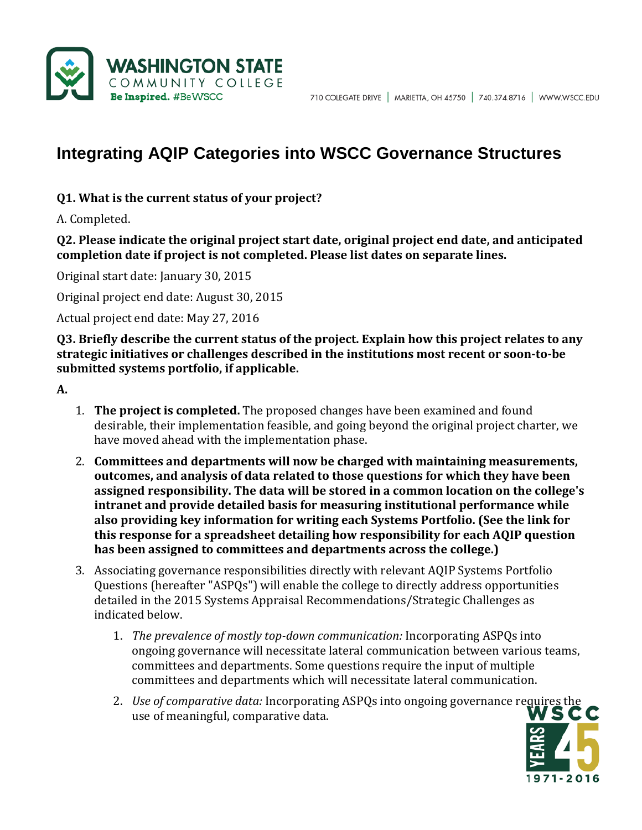

# **Integrating AQIP Categories into WSCC Governance Structures**

#### **Q1. What is the current status of your project?**

A. Completed.

**Q2. Please indicate the original project start date, original project end date, and anticipated completion date if project is not completed. Please list dates on separate lines.**

Original start date: January 30, 2015

Original project end date: August 30, 2015

Actual project end date: May 27, 2016

**Q3. Briefly describe the current status of the project. Explain how this project relates to any strategic initiatives or challenges described in the institutions most recent or soon-to-be submitted systems portfolio, if applicable.**

**A.**

- 1. **The project is completed.** The proposed changes have been examined and found desirable, their implementation feasible, and going beyond the original project charter, we have moved ahead with the implementation phase.
- 2. **Committees and departments will now be charged with maintaining measurements, outcomes, and analysis of data related to those questions for which they have been assigned responsibility. The data will be stored in a common location on the college's intranet and provide detailed basis for measuring institutional performance while also providing key information for writing each Systems Portfolio. (See the link for this response for a spreadsheet detailing how responsibility for each AQIP question has been assigned to committees and departments across the college.)**
- 3. Associating governance responsibilities directly with relevant AQIP Systems Portfolio Questions (hereafter "ASPQs") will enable the college to directly address opportunities detailed in the 2015 Systems Appraisal Recommendations/Strategic Challenges as indicated below.
	- 1. *The prevalence of mostly top-down communication:* Incorporating ASPQs into ongoing governance will necessitate lateral communication between various teams, committees and departments. Some questions require the input of multiple committees and departments which will necessitate lateral communication.
	- 2. *Use of comparative data:* Incorporating ASPQs into ongoing governance requires the use of meaningful, comparative data.

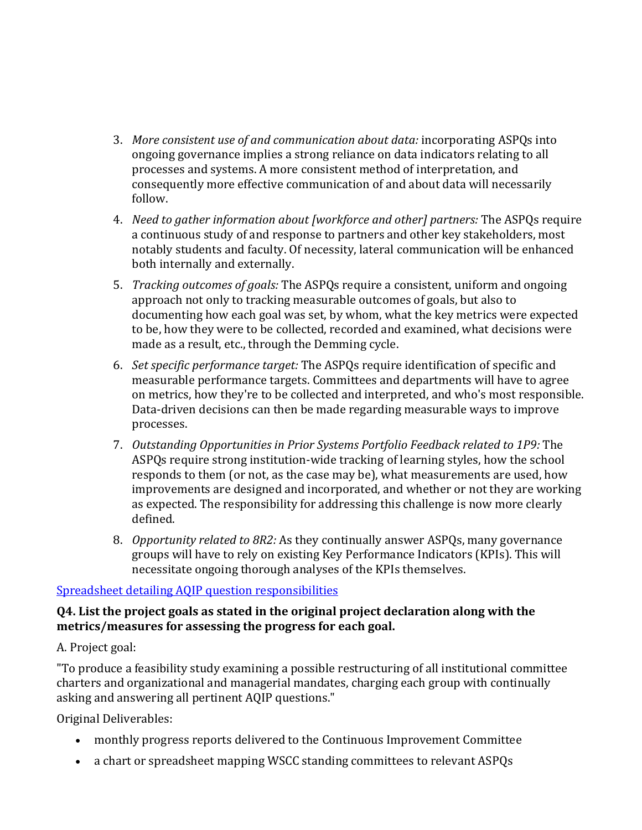- 3. *More consistent use of and communication about data:* incorporating ASPQs into ongoing governance implies a strong reliance on data indicators relating to all processes and systems. A more consistent method of interpretation, and consequently more effective communication of and about data will necessarily follow.
- 4. *Need to gather information about [workforce and other] partners:* The ASPQs require a continuous study of and response to partners and other key stakeholders, most notably students and faculty. Of necessity, lateral communication will be enhanced both internally and externally.
- 5. *Tracking outcomes of goals:* The ASPQs require a consistent, uniform and ongoing approach not only to tracking measurable outcomes of goals, but also to documenting how each goal was set, by whom, what the key metrics were expected to be, how they were to be collected, recorded and examined, what decisions were made as a result, etc., through the Demming cycle.
- 6. *Set specific performance target:* The ASPQs require identification of specific and measurable performance targets. Committees and departments will have to agree on metrics, how they're to be collected and interpreted, and who's most responsible. Data-driven decisions can then be made regarding measurable ways to improve processes.
- 7. *Outstanding Opportunities in Prior Systems Portfolio Feedback related to 1P9:* The ASPQs require strong institution-wide tracking of learning styles, how the school responds to them (or not, as the case may be), what measurements are used, how improvements are designed and incorporated, and whether or not they are working as expected. The responsibility for addressing this challenge is now more clearly defined.
- 8. *Opportunity related to 8R2:* As they continually answer ASPQs, many governance groups will have to rely on existing Key Performance Indicators (KPIs). This will necessitate ongoing thorough analyses of the KPIs themselves.

# [Spreadsheet detailing AQIP question responsibilities](http://www.wscc.edu/aqip/AQIP_Committee_Spreadsheet.pdf)

#### **Q4. List the project goals as stated in the original project declaration along with the metrics/measures for assessing the progress for each goal.**

# A. Project goal:

"To produce a feasibility study examining a possible restructuring of all institutional committee charters and organizational and managerial mandates, charging each group with continually asking and answering all pertinent AQIP questions."

Original Deliverables:

- monthly progress reports delivered to the Continuous Improvement Committee
- a chart or spreadsheet mapping WSCC standing committees to relevant ASPQs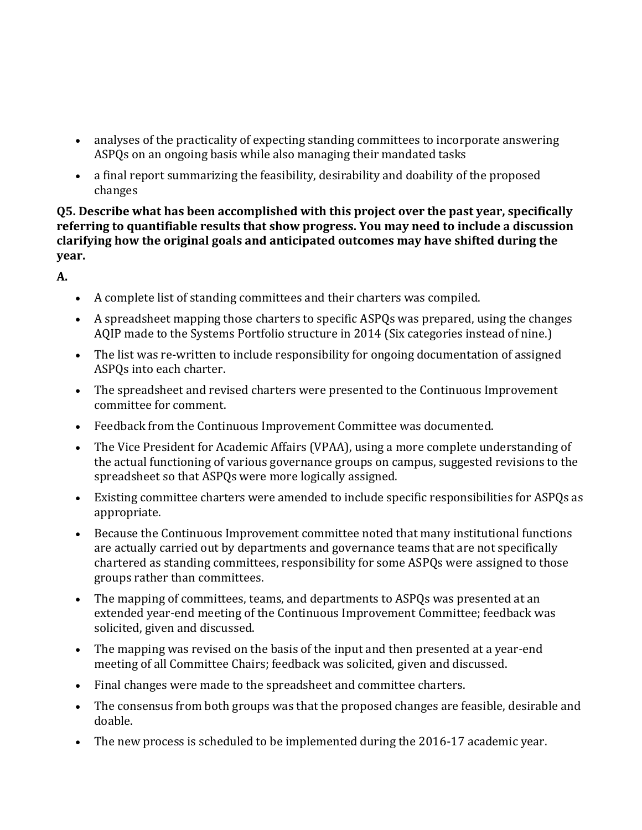- analyses of the practicality of expecting standing committees to incorporate answering ASPQs on an ongoing basis while also managing their mandated tasks
- a final report summarizing the feasibility, desirability and doability of the proposed changes

**Q5. Describe what has been accomplished with this project over the past year, specifically referring to quantifiable results that show progress. You may need to include a discussion clarifying how the original goals and anticipated outcomes may have shifted during the year.**

**A.**

- A complete list of standing committees and their charters was compiled.
- A spreadsheet mapping those charters to specific ASPQs was prepared, using the changes AQIP made to the Systems Portfolio structure in 2014 (Six categories instead of nine.)
- The list was re-written to include responsibility for ongoing documentation of assigned ASPQs into each charter.
- The spreadsheet and revised charters were presented to the Continuous Improvement committee for comment.
- Feedback from the Continuous Improvement Committee was documented.
- The Vice President for Academic Affairs (VPAA), using a more complete understanding of the actual functioning of various governance groups on campus, suggested revisions to the spreadsheet so that ASPQs were more logically assigned.
- Existing committee charters were amended to include specific responsibilities for ASPQs as appropriate.
- Because the Continuous Improvement committee noted that many institutional functions are actually carried out by departments and governance teams that are not specifically chartered as standing committees, responsibility for some ASPQs were assigned to those groups rather than committees.
- The mapping of committees, teams, and departments to ASPQs was presented at an extended year-end meeting of the Continuous Improvement Committee; feedback was solicited, given and discussed.
- The mapping was revised on the basis of the input and then presented at a year-end meeting of all Committee Chairs; feedback was solicited, given and discussed.
- Final changes were made to the spreadsheet and committee charters.
- The consensus from both groups was that the proposed changes are feasible, desirable and doable.
- The new process is scheduled to be implemented during the 2016-17 academic year.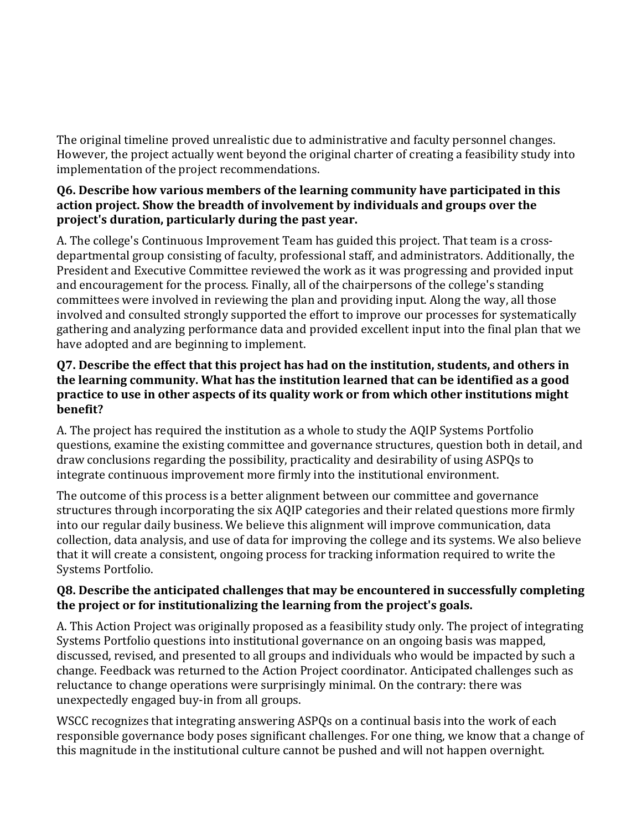The original timeline proved unrealistic due to administrative and faculty personnel changes. However, the project actually went beyond the original charter of creating a feasibility study into implementation of the project recommendations.

# **Q6. Describe how various members of the learning community have participated in this action project. Show the breadth of involvement by individuals and groups over the project's duration, particularly during the past year.**

A. The college's Continuous Improvement Team has guided this project. That team is a crossdepartmental group consisting of faculty, professional staff, and administrators. Additionally, the President and Executive Committee reviewed the work as it was progressing and provided input and encouragement for the process. Finally, all of the chairpersons of the college's standing committees were involved in reviewing the plan and providing input. Along the way, all those involved and consulted strongly supported the effort to improve our processes for systematically gathering and analyzing performance data and provided excellent input into the final plan that we have adopted and are beginning to implement.

### **Q7. Describe the effect that this project has had on the institution, students, and others in the learning community. What has the institution learned that can be identified as a good practice to use in other aspects of its quality work or from which other institutions might benefit?**

A. The project has required the institution as a whole to study the AQIP Systems Portfolio questions, examine the existing committee and governance structures, question both in detail, and draw conclusions regarding the possibility, practicality and desirability of using ASPQs to integrate continuous improvement more firmly into the institutional environment.

The outcome of this process is a better alignment between our committee and governance structures through incorporating the six AQIP categories and their related questions more firmly into our regular daily business. We believe this alignment will improve communication, data collection, data analysis, and use of data for improving the college and its systems. We also believe that it will create a consistent, ongoing process for tracking information required to write the Systems Portfolio.

# **Q8. Describe the anticipated challenges that may be encountered in successfully completing the project or for institutionalizing the learning from the project's goals.**

A. This Action Project was originally proposed as a feasibility study only. The project of integrating Systems Portfolio questions into institutional governance on an ongoing basis was mapped, discussed, revised, and presented to all groups and individuals who would be impacted by such a change. Feedback was returned to the Action Project coordinator. Anticipated challenges such as reluctance to change operations were surprisingly minimal. On the contrary: there was unexpectedly engaged buy-in from all groups.

WSCC recognizes that integrating answering ASPQs on a continual basis into the work of each responsible governance body poses significant challenges. For one thing, we know that a change of this magnitude in the institutional culture cannot be pushed and will not happen overnight.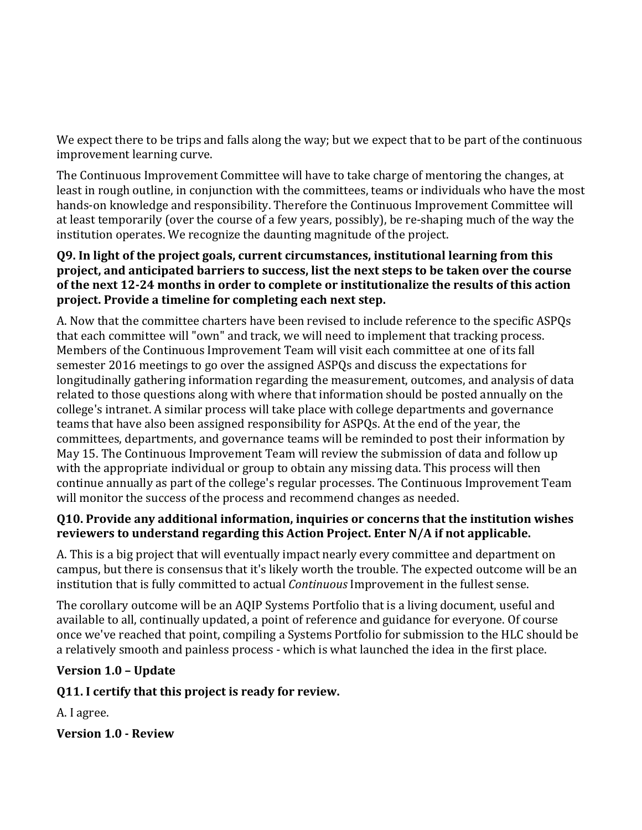We expect there to be trips and falls along the way; but we expect that to be part of the continuous improvement learning curve.

The Continuous Improvement Committee will have to take charge of mentoring the changes, at least in rough outline, in conjunction with the committees, teams or individuals who have the most hands-on knowledge and responsibility. Therefore the Continuous Improvement Committee will at least temporarily (over the course of a few years, possibly), be re-shaping much of the way the institution operates. We recognize the daunting magnitude of the project.

#### **Q9. In light of the project goals, current circumstances, institutional learning from this project, and anticipated barriers to success, list the next steps to be taken over the course of the next 12-24 months in order to complete or institutionalize the results of this action project. Provide a timeline for completing each next step.**

A. Now that the committee charters have been revised to include reference to the specific ASPQs that each committee will "own" and track, we will need to implement that tracking process. Members of the Continuous Improvement Team will visit each committee at one of its fall semester 2016 meetings to go over the assigned ASPQs and discuss the expectations for longitudinally gathering information regarding the measurement, outcomes, and analysis of data related to those questions along with where that information should be posted annually on the college's intranet. A similar process will take place with college departments and governance teams that have also been assigned responsibility for ASPQs. At the end of the year, the committees, departments, and governance teams will be reminded to post their information by May 15. The Continuous Improvement Team will review the submission of data and follow up with the appropriate individual or group to obtain any missing data. This process will then continue annually as part of the college's regular processes. The Continuous Improvement Team will monitor the success of the process and recommend changes as needed.

# **Q10. Provide any additional information, inquiries or concerns that the institution wishes reviewers to understand regarding this Action Project. Enter N/A if not applicable.**

A. This is a big project that will eventually impact nearly every committee and department on campus, but there is consensus that it's likely worth the trouble. The expected outcome will be an institution that is fully committed to actual *Continuous* Improvement in the fullest sense.

The corollary outcome will be an AQIP Systems Portfolio that is a living document, useful and available to all, continually updated, a point of reference and guidance for everyone. Of course once we've reached that point, compiling a Systems Portfolio for submission to the HLC should be a relatively smooth and painless process - which is what launched the idea in the first place.

# **Version 1.0 – Update**

# **Q11. I certify that this project is ready for review.**

A. I agree.

**Version 1.0 - Review**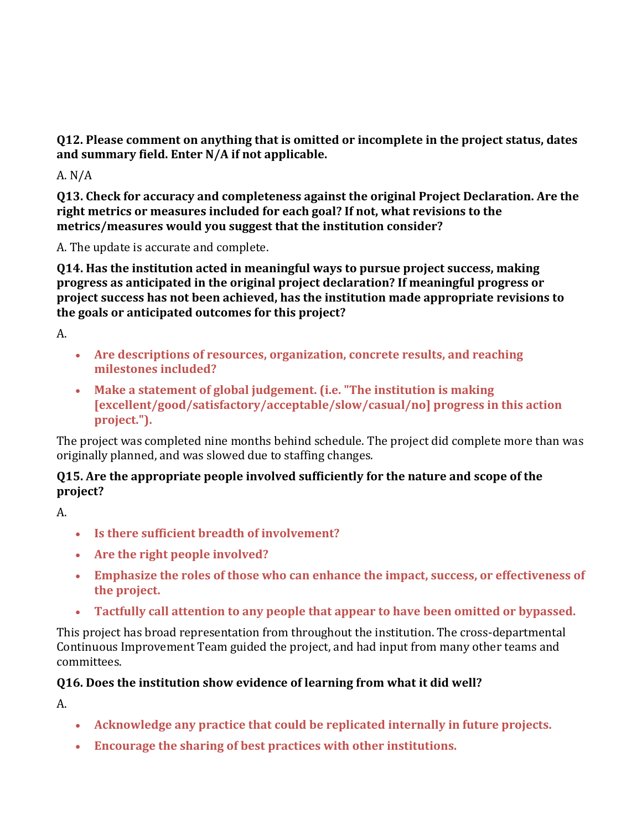**Q12. Please comment on anything that is omitted or incomplete in the project status, dates and summary field. Enter N/A if not applicable.**

A. N/A

**Q13. Check for accuracy and completeness against the original Project Declaration. Are the right metrics or measures included for each goal? If not, what revisions to the metrics/measures would you suggest that the institution consider?**

A. The update is accurate and complete.

**Q14. Has the institution acted in meaningful ways to pursue project success, making progress as anticipated in the original project declaration? If meaningful progress or project success has not been achieved, has the institution made appropriate revisions to the goals or anticipated outcomes for this project?**

A.

- **Are descriptions of resources, organization, concrete results, and reaching milestones included?**
- **Make a statement of global judgement. (i.e. "The institution is making [excellent/good/satisfactory/acceptable/slow/casual/no] progress in this action project.").**

The project was completed nine months behind schedule. The project did complete more than was originally planned, and was slowed due to staffing changes.

# **Q15. Are the appropriate people involved sufficiently for the nature and scope of the project?**

A.

- **Is there sufficient breadth of involvement?**
- **Are the right people involved?**
- **Emphasize the roles of those who can enhance the impact, success, or effectiveness of the project.**
- **Tactfully call attention to any people that appear to have been omitted or bypassed.**

This project has broad representation from throughout the institution. The cross-departmental Continuous Improvement Team guided the project, and had input from many other teams and committees.

# **Q16. Does the institution show evidence of learning from what it did well?**

A.

- **Acknowledge any practice that could be replicated internally in future projects.**
- **Encourage the sharing of best practices with other institutions.**